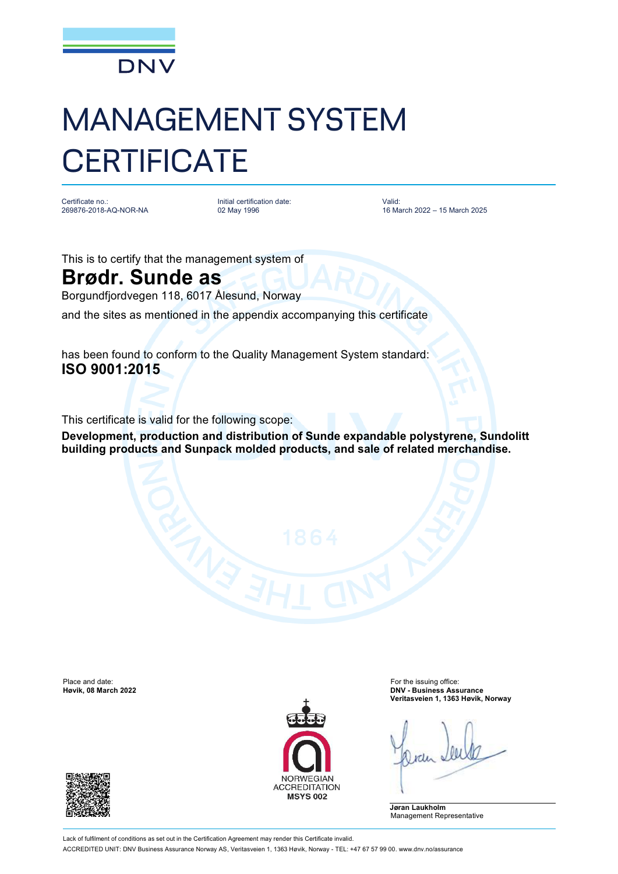

## MANAGEMENT SYSTEM **CERTIFICATE**

Certificate no.: 269876-2018-AQ-NOR-NA Initial certification date: 02 May 1996

Valid: 16 March 2022 – 15 March 2025

This is to certify that the management system of

## **Brødr. Sunde as**

Borgundfjordvegen 118, 6017 Ålesund, Norway

and the sites as mentioned in the appendix accompanying this certificate

has been found to conform to the Quality Management System standard: **ISO 9001:2015**

This certificate is valid for the following scope:

**Development, production and distribution of Sunde expandable polystyrene, Sundolitt building products and Sunpack molded products, and sale of related merchandise.**

Place and date: For the issuing office:<br> **Place and date:** For the issuing office:<br> **Place and date:** For the issuing office: For the issuing office: For the issuing office:





**Høvik, 08 March 2022 DNV - Business Assurance Veritasveien 1, 1363 Høvik, Norway**

**Jøran Laukholm** Management Representative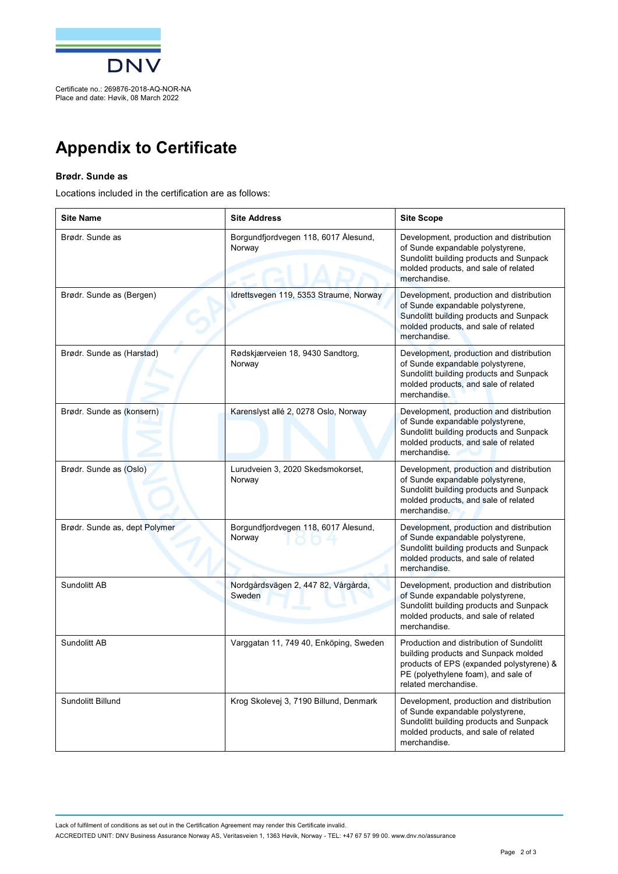

## **Appendix to Certificate**

## **Brødr. Sunde as**

Locations included in the certification are as follows:

| <b>Site Name</b>              | <b>Site Address</b>                            | <b>Site Scope</b>                                                                                                                                                                           |
|-------------------------------|------------------------------------------------|---------------------------------------------------------------------------------------------------------------------------------------------------------------------------------------------|
| Brødr. Sunde as               | Borgundfjordvegen 118, 6017 Ålesund,<br>Norway | Development, production and distribution<br>of Sunde expandable polystyrene,<br>Sundolitt building products and Sunpack<br>molded products, and sale of related<br>merchandise.             |
| Brødr. Sunde as (Bergen)      | Idrettsvegen 119, 5353 Straume, Norway         | Development, production and distribution<br>of Sunde expandable polystyrene,<br>Sundolitt building products and Sunpack<br>molded products, and sale of related<br>merchandise.             |
| Brødr. Sunde as (Harstad)     | Rødskjærveien 18, 9430 Sandtorg,<br>Norway     | Development, production and distribution<br>of Sunde expandable polystyrene,<br>Sundolitt building products and Sunpack<br>molded products, and sale of related<br>merchandise.             |
| Brødr. Sunde as (konsern)     | Karenslyst allé 2, 0278 Oslo, Norway           | Development, production and distribution<br>of Sunde expandable polystyrene,<br>Sundolitt building products and Sunpack<br>molded products, and sale of related<br>merchandise.             |
| Brødr. Sunde as (Oslo)        | Lurudveien 3, 2020 Skedsmokorset,<br>Norway    | Development, production and distribution<br>of Sunde expandable polystyrene,<br>Sundolitt building products and Sunpack<br>molded products, and sale of related<br>merchandise.             |
| Brødr. Sunde as, dept Polymer | Borgundfjordvegen 118, 6017 Ålesund,<br>Norway | Development, production and distribution<br>of Sunde expandable polystyrene,<br>Sundolitt building products and Sunpack<br>molded products, and sale of related<br>merchandise.             |
| Sundolitt AB                  | Nordgårdsvägen 2, 447 82, Vårgårda,<br>Sweden  | Development, production and distribution<br>of Sunde expandable polystyrene,<br>Sundolitt building products and Sunpack<br>molded products, and sale of related<br>merchandise.             |
| Sundolitt AB                  | Varggatan 11, 749 40, Enköping, Sweden         | Production and distribution of Sundolitt<br>building products and Sunpack molded<br>products of EPS (expanded polystyrene) &<br>PE (polyethylene foam), and sale of<br>related merchandise. |
| Sundolitt Billund             | Krog Skolevej 3, 7190 Billund, Denmark         | Development, production and distribution<br>of Sunde expandable polystyrene,<br>Sundolitt building products and Sunpack<br>molded products, and sale of related<br>merchandise.             |

Lack of fulfilment of conditions as set out in the Certification Agreement may render this Certificate invalid. ACCREDITED UNIT: DNV Business Assurance Norway AS, Veritasveien 1, 1363 Høvik, Norway - TEL: +47 67 57 99 00. [www.dnv.no/assurance](http://www.dnv.no/assurance)